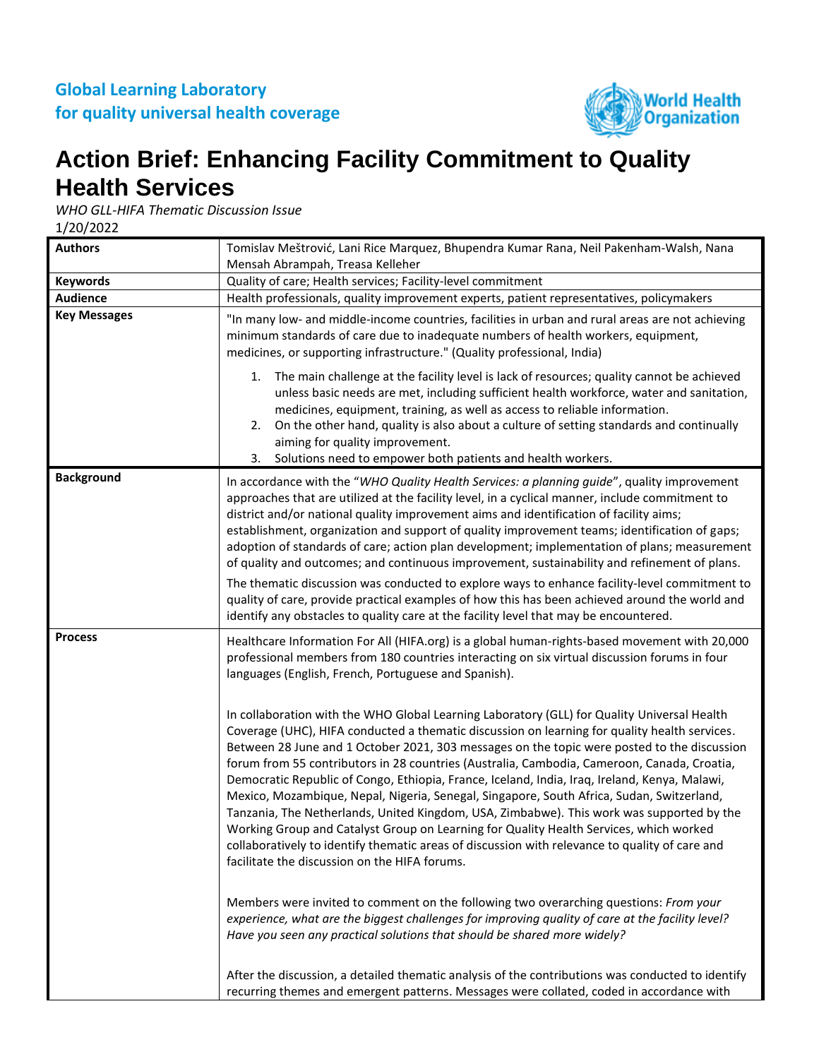

## **Action Brief: Enhancing Facility Commitment to Quality Health Services**

*WHO GLL-HIFA Thematic Discussion Issue*

1/20/2022

| <b>Authors</b>      | Tomislav Meštrović, Lani Rice Marquez, Bhupendra Kumar Rana, Neil Pakenham-Walsh, Nana<br>Mensah Abrampah, Treasa Kelleher                                                                                                                                                                                                                                                                                                                                                                                                                                                                                                                                                                                                                                                                                                                                                                                                         |
|---------------------|------------------------------------------------------------------------------------------------------------------------------------------------------------------------------------------------------------------------------------------------------------------------------------------------------------------------------------------------------------------------------------------------------------------------------------------------------------------------------------------------------------------------------------------------------------------------------------------------------------------------------------------------------------------------------------------------------------------------------------------------------------------------------------------------------------------------------------------------------------------------------------------------------------------------------------|
| <b>Keywords</b>     | Quality of care; Health services; Facility-level commitment                                                                                                                                                                                                                                                                                                                                                                                                                                                                                                                                                                                                                                                                                                                                                                                                                                                                        |
| <b>Audience</b>     | Health professionals, quality improvement experts, patient representatives, policymakers                                                                                                                                                                                                                                                                                                                                                                                                                                                                                                                                                                                                                                                                                                                                                                                                                                           |
| <b>Key Messages</b> | "In many low- and middle-income countries, facilities in urban and rural areas are not achieving<br>minimum standards of care due to inadequate numbers of health workers, equipment,<br>medicines, or supporting infrastructure." (Quality professional, India)                                                                                                                                                                                                                                                                                                                                                                                                                                                                                                                                                                                                                                                                   |
|                     | The main challenge at the facility level is lack of resources; quality cannot be achieved<br>1.<br>unless basic needs are met, including sufficient health workforce, water and sanitation,<br>medicines, equipment, training, as well as access to reliable information.<br>On the other hand, quality is also about a culture of setting standards and continually<br>2.<br>aiming for quality improvement.<br>3. Solutions need to empower both patients and health workers.                                                                                                                                                                                                                                                                                                                                                                                                                                                    |
| <b>Background</b>   | In accordance with the "WHO Quality Health Services: a planning guide", quality improvement<br>approaches that are utilized at the facility level, in a cyclical manner, include commitment to<br>district and/or national quality improvement aims and identification of facility aims;<br>establishment, organization and support of quality improvement teams; identification of gaps;<br>adoption of standards of care; action plan development; implementation of plans; measurement<br>of quality and outcomes; and continuous improvement, sustainability and refinement of plans.<br>The thematic discussion was conducted to explore ways to enhance facility-level commitment to<br>quality of care, provide practical examples of how this has been achieved around the world and<br>identify any obstacles to quality care at the facility level that may be encountered.                                              |
| <b>Process</b>      | Healthcare Information For All (HIFA.org) is a global human-rights-based movement with 20,000<br>professional members from 180 countries interacting on six virtual discussion forums in four<br>languages (English, French, Portuguese and Spanish).                                                                                                                                                                                                                                                                                                                                                                                                                                                                                                                                                                                                                                                                              |
|                     | In collaboration with the WHO Global Learning Laboratory (GLL) for Quality Universal Health<br>Coverage (UHC), HIFA conducted a thematic discussion on learning for quality health services.<br>Between 28 June and 1 October 2021, 303 messages on the topic were posted to the discussion<br>forum from 55 contributors in 28 countries (Australia, Cambodia, Cameroon, Canada, Croatia,<br>Democratic Republic of Congo, Ethiopia, France, Iceland, India, Iraq, Ireland, Kenya, Malawi,<br>Mexico, Mozambique, Nepal, Nigeria, Senegal, Singapore, South Africa, Sudan, Switzerland,<br>Tanzania, The Netherlands, United Kingdom, USA, Zimbabwe). This work was supported by the<br>Working Group and Catalyst Group on Learning for Quality Health Services, which worked<br>collaboratively to identify thematic areas of discussion with relevance to quality of care and<br>facilitate the discussion on the HIFA forums. |
|                     | Members were invited to comment on the following two overarching questions: From your<br>experience, what are the biggest challenges for improving quality of care at the facility level?<br>Have you seen any practical solutions that should be shared more widely?                                                                                                                                                                                                                                                                                                                                                                                                                                                                                                                                                                                                                                                              |
|                     | After the discussion, a detailed thematic analysis of the contributions was conducted to identify<br>recurring themes and emergent patterns. Messages were collated, coded in accordance with                                                                                                                                                                                                                                                                                                                                                                                                                                                                                                                                                                                                                                                                                                                                      |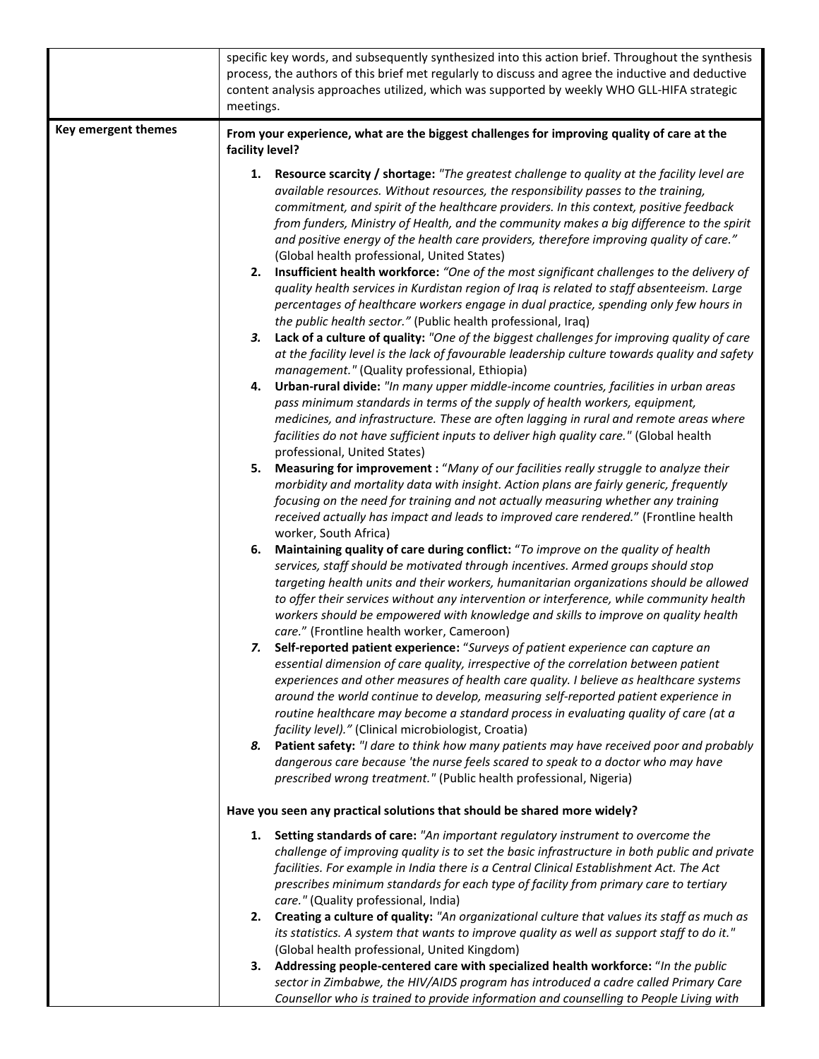|                     | specific key words, and subsequently synthesized into this action brief. Throughout the synthesis<br>process, the authors of this brief met regularly to discuss and agree the inductive and deductive<br>content analysis approaches utilized, which was supported by weekly WHO GLL-HIFA strategic<br>meetings.                                                                                                                                                                                                                                                                                                                                                                                                                                                                                                                                                                                                                                                                                                                                                                                                                                                                                                                                                                                                                                                                                                                                                                                                                                                                                                                                                                                                                                                                                                                                                                                                                                                                                                                                                                                                                                                                                                                                                                                                                                                                                                                                                                                                                             |
|---------------------|-----------------------------------------------------------------------------------------------------------------------------------------------------------------------------------------------------------------------------------------------------------------------------------------------------------------------------------------------------------------------------------------------------------------------------------------------------------------------------------------------------------------------------------------------------------------------------------------------------------------------------------------------------------------------------------------------------------------------------------------------------------------------------------------------------------------------------------------------------------------------------------------------------------------------------------------------------------------------------------------------------------------------------------------------------------------------------------------------------------------------------------------------------------------------------------------------------------------------------------------------------------------------------------------------------------------------------------------------------------------------------------------------------------------------------------------------------------------------------------------------------------------------------------------------------------------------------------------------------------------------------------------------------------------------------------------------------------------------------------------------------------------------------------------------------------------------------------------------------------------------------------------------------------------------------------------------------------------------------------------------------------------------------------------------------------------------------------------------------------------------------------------------------------------------------------------------------------------------------------------------------------------------------------------------------------------------------------------------------------------------------------------------------------------------------------------------------------------------------------------------------------------------------------------------|
| Key emergent themes | From your experience, what are the biggest challenges for improving quality of care at the                                                                                                                                                                                                                                                                                                                                                                                                                                                                                                                                                                                                                                                                                                                                                                                                                                                                                                                                                                                                                                                                                                                                                                                                                                                                                                                                                                                                                                                                                                                                                                                                                                                                                                                                                                                                                                                                                                                                                                                                                                                                                                                                                                                                                                                                                                                                                                                                                                                    |
|                     | facility level?<br>1. Resource scarcity / shortage: "The greatest challenge to quality at the facility level are<br>available resources. Without resources, the responsibility passes to the training,<br>commitment, and spirit of the healthcare providers. In this context, positive feedback<br>from funders, Ministry of Health, and the community makes a big difference to the spirit<br>and positive energy of the health care providers, therefore improving quality of care."<br>(Global health professional, United States)<br>2. Insufficient health workforce: "One of the most significant challenges to the delivery of<br>quality health services in Kurdistan region of Iraq is related to staff absenteeism. Large<br>percentages of healthcare workers engage in dual practice, spending only few hours in<br>the public health sector." (Public health professional, Iraq)<br>Lack of a culture of quality: "One of the biggest challenges for improving quality of care<br>3.<br>at the facility level is the lack of favourable leadership culture towards quality and safety<br>management." (Quality professional, Ethiopia)<br>4. Urban-rural divide: "In many upper middle-income countries, facilities in urban areas<br>pass minimum standards in terms of the supply of health workers, equipment,<br>medicines, and infrastructure. These are often lagging in rural and remote areas where<br>facilities do not have sufficient inputs to deliver high quality care." (Global health<br>professional, United States)<br>5.<br>Measuring for improvement : "Many of our facilities really struggle to analyze their<br>morbidity and mortality data with insight. Action plans are fairly generic, frequently<br>focusing on the need for training and not actually measuring whether any training<br>received actually has impact and leads to improved care rendered." (Frontline health<br>worker, South Africa)<br>Maintaining quality of care during conflict: "To improve on the quality of health<br>6.<br>services, staff should be motivated through incentives. Armed groups should stop<br>targeting health units and their workers, humanitarian organizations should be allowed<br>to offer their services without any intervention or interference, while community health<br>workers should be empowered with knowledge and skills to improve on quality health<br>care." (Frontline health worker, Cameroon)<br>Self-reported patient experience: "Surveys of patient experience can capture an |
|                     | essential dimension of care quality, irrespective of the correlation between patient<br>experiences and other measures of health care quality. I believe as healthcare systems<br>around the world continue to develop, measuring self-reported patient experience in<br>routine healthcare may become a standard process in evaluating quality of care (at a<br>facility level)." (Clinical microbiologist, Croatia)                                                                                                                                                                                                                                                                                                                                                                                                                                                                                                                                                                                                                                                                                                                                                                                                                                                                                                                                                                                                                                                                                                                                                                                                                                                                                                                                                                                                                                                                                                                                                                                                                                                                                                                                                                                                                                                                                                                                                                                                                                                                                                                         |
|                     | 8. Patient safety: "I dare to think how many patients may have received poor and probably<br>dangerous care because 'the nurse feels scared to speak to a doctor who may have<br>prescribed wrong treatment." (Public health professional, Nigeria)                                                                                                                                                                                                                                                                                                                                                                                                                                                                                                                                                                                                                                                                                                                                                                                                                                                                                                                                                                                                                                                                                                                                                                                                                                                                                                                                                                                                                                                                                                                                                                                                                                                                                                                                                                                                                                                                                                                                                                                                                                                                                                                                                                                                                                                                                           |
|                     | Have you seen any practical solutions that should be shared more widely?                                                                                                                                                                                                                                                                                                                                                                                                                                                                                                                                                                                                                                                                                                                                                                                                                                                                                                                                                                                                                                                                                                                                                                                                                                                                                                                                                                                                                                                                                                                                                                                                                                                                                                                                                                                                                                                                                                                                                                                                                                                                                                                                                                                                                                                                                                                                                                                                                                                                      |
|                     | 1. Setting standards of care: "An important regulatory instrument to overcome the<br>challenge of improving quality is to set the basic infrastructure in both public and private<br>facilities. For example in India there is a Central Clinical Establishment Act. The Act<br>prescribes minimum standards for each type of facility from primary care to tertiary<br>care." (Quality professional, India)                                                                                                                                                                                                                                                                                                                                                                                                                                                                                                                                                                                                                                                                                                                                                                                                                                                                                                                                                                                                                                                                                                                                                                                                                                                                                                                                                                                                                                                                                                                                                                                                                                                                                                                                                                                                                                                                                                                                                                                                                                                                                                                                  |
|                     | 2. Creating a culture of quality: "An organizational culture that values its staff as much as<br>its statistics. A system that wants to improve quality as well as support staff to do it."<br>(Global health professional, United Kingdom)                                                                                                                                                                                                                                                                                                                                                                                                                                                                                                                                                                                                                                                                                                                                                                                                                                                                                                                                                                                                                                                                                                                                                                                                                                                                                                                                                                                                                                                                                                                                                                                                                                                                                                                                                                                                                                                                                                                                                                                                                                                                                                                                                                                                                                                                                                   |
|                     | 3. Addressing people-centered care with specialized health workforce: "In the public<br>sector in Zimbabwe, the HIV/AIDS program has introduced a cadre called Primary Care<br>Counsellor who is trained to provide information and counselling to People Living with                                                                                                                                                                                                                                                                                                                                                                                                                                                                                                                                                                                                                                                                                                                                                                                                                                                                                                                                                                                                                                                                                                                                                                                                                                                                                                                                                                                                                                                                                                                                                                                                                                                                                                                                                                                                                                                                                                                                                                                                                                                                                                                                                                                                                                                                         |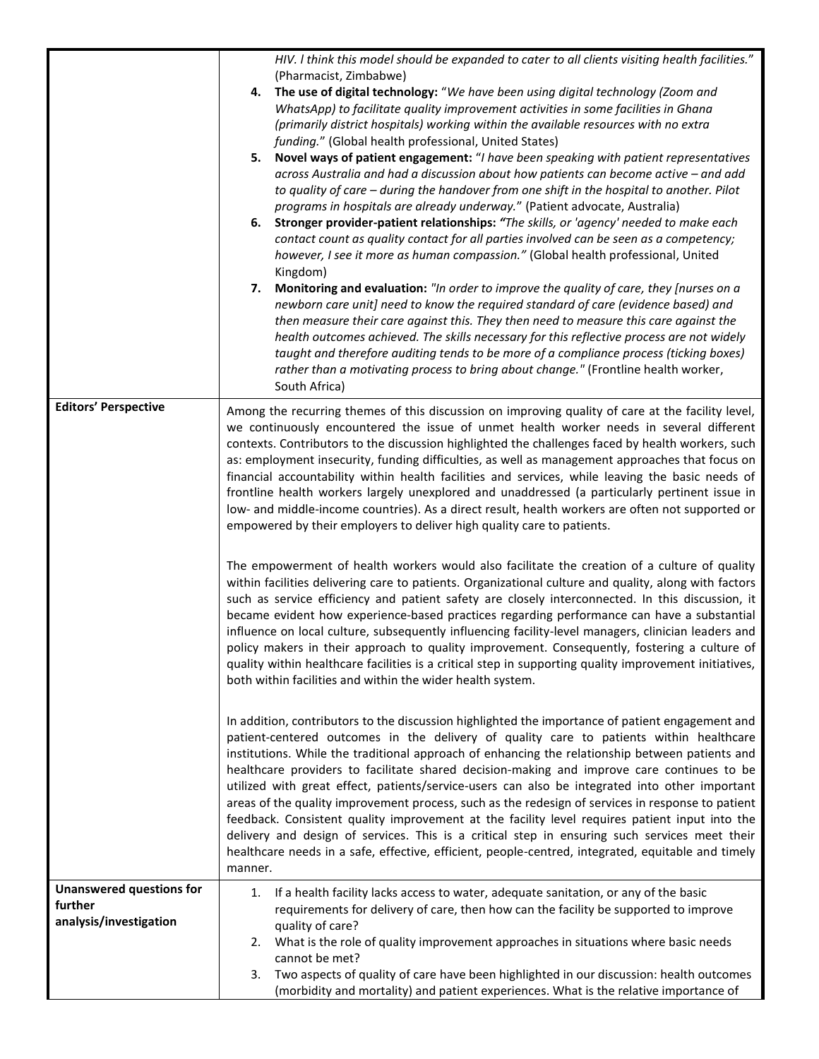|                                                                      | HIV. I think this model should be expanded to cater to all clients visiting health facilities."<br>(Pharmacist, Zimbabwe)<br>The use of digital technology: "We have been using digital technology (Zoom and<br>4.<br>WhatsApp) to facilitate quality improvement activities in some facilities in Ghana<br>(primarily district hospitals) working within the available resources with no extra<br>funding." (Global health professional, United States)<br>5. Novel ways of patient engagement: "I have been speaking with patient representatives<br>across Australia and had a discussion about how patients can become active - and add<br>to quality of care - during the handover from one shift in the hospital to another. Pilot<br>programs in hospitals are already underway." (Patient advocate, Australia)<br>6. Stronger provider-patient relationships: "The skills, or 'agency' needed to make each<br>contact count as quality contact for all parties involved can be seen as a competency;<br>however, I see it more as human compassion." (Global health professional, United<br>Kingdom)<br>Monitoring and evaluation: "In order to improve the quality of care, they [nurses on a<br>7.<br>newborn care unit] need to know the required standard of care (evidence based) and<br>then measure their care against this. They then need to measure this care against the<br>health outcomes achieved. The skills necessary for this reflective process are not widely<br>taught and therefore auditing tends to be more of a compliance process (ticking boxes)<br>rather than a motivating process to bring about change." (Frontline health worker,<br>South Africa) |
|----------------------------------------------------------------------|-------------------------------------------------------------------------------------------------------------------------------------------------------------------------------------------------------------------------------------------------------------------------------------------------------------------------------------------------------------------------------------------------------------------------------------------------------------------------------------------------------------------------------------------------------------------------------------------------------------------------------------------------------------------------------------------------------------------------------------------------------------------------------------------------------------------------------------------------------------------------------------------------------------------------------------------------------------------------------------------------------------------------------------------------------------------------------------------------------------------------------------------------------------------------------------------------------------------------------------------------------------------------------------------------------------------------------------------------------------------------------------------------------------------------------------------------------------------------------------------------------------------------------------------------------------------------------------------------------------------------------------------------------------------------------------------|
| <b>Editors' Perspective</b>                                          | Among the recurring themes of this discussion on improving quality of care at the facility level,<br>we continuously encountered the issue of unmet health worker needs in several different<br>contexts. Contributors to the discussion highlighted the challenges faced by health workers, such<br>as: employment insecurity, funding difficulties, as well as management approaches that focus on<br>financial accountability within health facilities and services, while leaving the basic needs of<br>frontline health workers largely unexplored and unaddressed (a particularly pertinent issue in<br>low- and middle-income countries). As a direct result, health workers are often not supported or<br>empowered by their employers to deliver high quality care to patients.                                                                                                                                                                                                                                                                                                                                                                                                                                                                                                                                                                                                                                                                                                                                                                                                                                                                                                  |
|                                                                      | The empowerment of health workers would also facilitate the creation of a culture of quality<br>within facilities delivering care to patients. Organizational culture and quality, along with factors<br>such as service efficiency and patient safety are closely interconnected. In this discussion, it<br>became evident how experience-based practices regarding performance can have a substantial<br>influence on local culture, subsequently influencing facility-level managers, clinician leaders and<br>policy makers in their approach to quality improvement. Consequently, fostering a culture of<br>quality within healthcare facilities is a critical step in supporting quality improvement initiatives,<br>both within facilities and within the wider health system.                                                                                                                                                                                                                                                                                                                                                                                                                                                                                                                                                                                                                                                                                                                                                                                                                                                                                                    |
|                                                                      | In addition, contributors to the discussion highlighted the importance of patient engagement and<br>patient-centered outcomes in the delivery of quality care to patients within healthcare<br>institutions. While the traditional approach of enhancing the relationship between patients and<br>healthcare providers to facilitate shared decision-making and improve care continues to be<br>utilized with great effect, patients/service-users can also be integrated into other important<br>areas of the quality improvement process, such as the redesign of services in response to patient<br>feedback. Consistent quality improvement at the facility level requires patient input into the<br>delivery and design of services. This is a critical step in ensuring such services meet their<br>healthcare needs in a safe, effective, efficient, people-centred, integrated, equitable and timely<br>manner.                                                                                                                                                                                                                                                                                                                                                                                                                                                                                                                                                                                                                                                                                                                                                                   |
| <b>Unanswered questions for</b><br>further<br>analysis/investigation | If a health facility lacks access to water, adequate sanitation, or any of the basic<br>1.<br>requirements for delivery of care, then how can the facility be supported to improve<br>quality of care?<br>What is the role of quality improvement approaches in situations where basic needs<br>2.<br>cannot be met?<br>Two aspects of quality of care have been highlighted in our discussion: health outcomes<br>3.<br>(morbidity and mortality) and patient experiences. What is the relative importance of                                                                                                                                                                                                                                                                                                                                                                                                                                                                                                                                                                                                                                                                                                                                                                                                                                                                                                                                                                                                                                                                                                                                                                            |